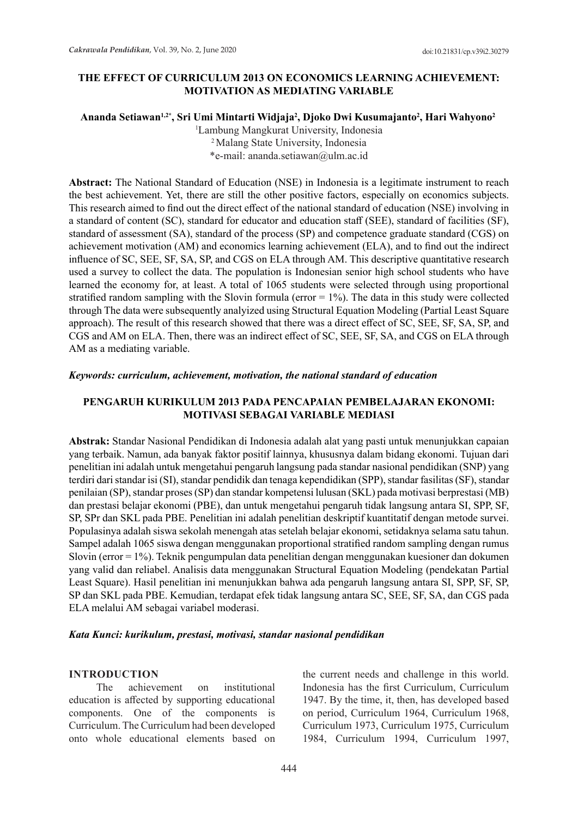## **THE EFFECT OF CURRICULUM 2013 ON ECONOMICS LEARNING ACHIEVEMENT: MOTIVATION AS MEDIATING VARIABLE**

**Ananda Setiawan1,2\*, Sri Umi Mintarti Widjaja2 , Djoko Dwi Kusumajanto<sup>2</sup> , Hari Wahyono2**

1 Lambung Mangkurat University, Indonesia

2 Malang State University, Indonesia \*e-mail: ananda.setiawan@ulm.ac.id

**Abstract:** The National Standard of Education (NSE) in Indonesia is a legitimate instrument to reach the best achievement. Yet, there are still the other positive factors, especially on economics subjects. This research aimed to find out the direct effect of the national standard of education (NSE) involving in a standard of content (SC), standard for educator and education staff (SEE), standard of facilities (SF), standard of assessment (SA), standard of the process (SP) and competence graduate standard (CGS) on achievement motivation (AM) and economics learning achievement (ELA), and to find out the indirect influence of SC, SEE, SF, SA, SP, and CGS on ELA through AM. This descriptive quantitative research used a survey to collect the data. The population is Indonesian senior high school students who have learned the economy for, at least. A total of 1065 students were selected through using proportional stratified random sampling with the Slovin formula ( $error = 1\%$ ). The data in this study were collected through The data were subsequently analyized using Structural Equation Modeling (Partial Least Square approach). The result of this research showed that there was a direct effect of SC, SEE, SF, SA, SP, and CGS and AM on ELA. Then, there was an indirect effect of SC, SEE, SF, SA, and CGS on ELA through AM as a mediating variable.

## *Keywords: curriculum, achievement, motivation, the national standard of education*

## **PENGARUH KURIKULUM 2013 PADA PENCAPAIAN PEMBELAJARAN EKONOMI: MOTIVASI SEBAGAI VARIABLE MEDIASI**

**Abstrak:** Standar Nasional Pendidikan di Indonesia adalah alat yang pasti untuk menunjukkan capaian yang terbaik. Namun, ada banyak faktor positif lainnya, khususnya dalam bidang ekonomi. Tujuan dari penelitian ini adalah untuk mengetahui pengaruh langsung pada standar nasional pendidikan (SNP) yang terdiri dari standar isi (SI), standar pendidik dan tenaga kependidikan (SPP), standar fasilitas (SF), standar penilaian (SP), standar proses (SP) dan standar kompetensi lulusan (SKL) pada motivasi berprestasi (MB) dan prestasi belajar ekonomi (PBE), dan untuk mengetahui pengaruh tidak langsung antara SI, SPP, SF, SP, SPr dan SKL pada PBE. Penelitian ini adalah penelitian deskriptif kuantitatif dengan metode survei. Populasinya adalah siswa sekolah menengah atas setelah belajar ekonomi, setidaknya selama satu tahun. Sampel adalah 1065 siswa dengan menggunakan proportional stratified random sampling dengan rumus Slovin (error = 1%). Teknik pengumpulan data penelitian dengan menggunakan kuesioner dan dokumen yang valid dan reliabel. Analisis data menggunakan Structural Equation Modeling (pendekatan Partial Least Square). Hasil penelitian ini menunjukkan bahwa ada pengaruh langsung antara SI, SPP, SF, SP, SP dan SKL pada PBE. Kemudian, terdapat efek tidak langsung antara SC, SEE, SF, SA, dan CGS pada ELA melalui AM sebagai variabel moderasi.

## *Kata Kunci: kurikulum, prestasi, motivasi, standar nasional pendidikan*

## **INTRODUCTION**

The achievement on institutional education is affected by supporting educational components. One of the components is Curriculum. The Curriculum had been developed onto whole educational elements based on the current needs and challenge in this world. Indonesia has the first Curriculum, Curriculum 1947. By the time, it, then, has developed based on period, Curriculum 1964, Curriculum 1968, Curriculum 1973, Curriculum 1975, Curriculum 1984, Curriculum 1994, Curriculum 1997,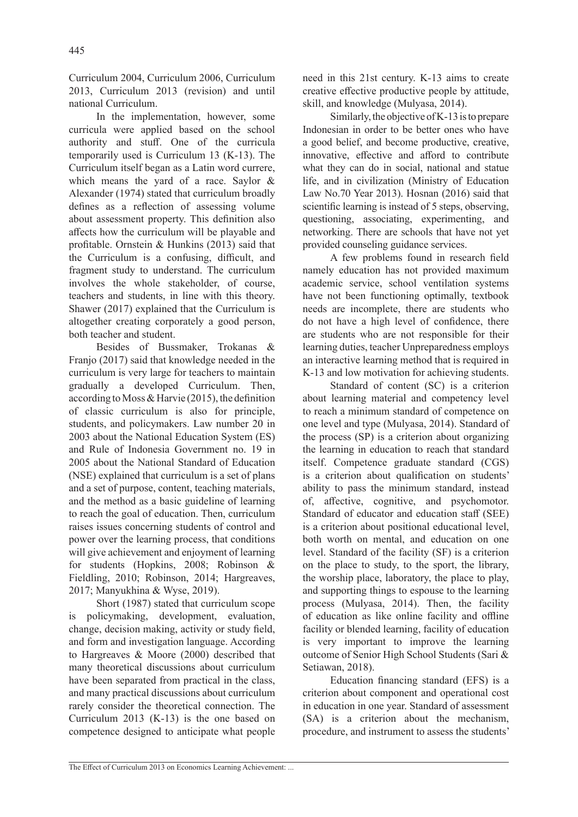Curriculum 2004, Curriculum 2006, Curriculum 2013, Curriculum 2013 (revision) and until national Curriculum.

In the implementation, however, some curricula were applied based on the school authority and stuff. One of the curricula temporarily used is Curriculum 13 (K-13). The Curriculum itself began as a Latin word currere, which means the yard of a race. Saylor & Alexander (1974) stated that curriculum broadly defines as a reflection of assessing volume about assessment property. This definition also affects how the curriculum will be playable and profitable. Ornstein & Hunkins (2013) said that the Curriculum is a confusing, difficult, and fragment study to understand. The curriculum involves the whole stakeholder, of course, teachers and students, in line with this theory. Shawer (2017) explained that the Curriculum is altogether creating corporately a good person, both teacher and student.

Besides of Bussmaker, Trokanas & Franjo (2017) said that knowledge needed in the curriculum is very large for teachers to maintain gradually a developed Curriculum. Then, according to Moss & Harvie (2015), the definition of classic curriculum is also for principle, students, and policymakers. Law number 20 in 2003 about the National Education System (ES) and Rule of Indonesia Government no. 19 in 2005 about the National Standard of Education (NSE) explained that curriculum is a set of plans and a set of purpose, content, teaching materials, and the method as a basic guideline of learning to reach the goal of education. Then, curriculum raises issues concerning students of control and power over the learning process, that conditions will give achievement and enjoyment of learning for students (Hopkins, 2008; Robinson & Fieldling, 2010; Robinson, 2014; Hargreaves, 2017; Manyukhina & Wyse, 2019).

Short (1987) stated that curriculum scope is policymaking, development, evaluation, change, decision making, activity or study field, and form and investigation language. According to Hargreaves & Moore (2000) described that many theoretical discussions about curriculum have been separated from practical in the class, and many practical discussions about curriculum rarely consider the theoretical connection. The Curriculum 2013 (K-13) is the one based on competence designed to anticipate what people

need in this 21st century. K-13 aims to create creative effective productive people by attitude, skill, and knowledge (Mulyasa, 2014).

Similarly, the objective of K-13 is to prepare Indonesian in order to be better ones who have a good belief, and become productive, creative, innovative, effective and afford to contribute what they can do in social, national and statue life, and in civilization (Ministry of Education Law No.70 Year 2013). Hosnan (2016) said that scientific learning is instead of 5 steps, observing, questioning, associating, experimenting, and networking. There are schools that have not yet provided counseling guidance services.

A few problems found in research field namely education has not provided maximum academic service, school ventilation systems have not been functioning optimally, textbook needs are incomplete, there are students who do not have a high level of confidence, there are students who are not responsible for their learning duties, teacher Unpreparedness employs an interactive learning method that is required in K-13 and low motivation for achieving students.

Standard of content (SC) is a criterion about learning material and competency level to reach a minimum standard of competence on one level and type (Mulyasa, 2014). Standard of the process (SP) is a criterion about organizing the learning in education to reach that standard itself. Competence graduate standard (CGS) is a criterion about qualification on students' ability to pass the minimum standard, instead of, affective, cognitive, and psychomotor. Standard of educator and education staff (SEE) is a criterion about positional educational level, both worth on mental, and education on one level. Standard of the facility (SF) is a criterion on the place to study, to the sport, the library, the worship place, laboratory, the place to play, and supporting things to espouse to the learning process (Mulyasa, 2014). Then, the facility of education as like online facility and offline facility or blended learning, facility of education is very important to improve the learning outcome of Senior High School Students (Sari & Setiawan, 2018).

Education financing standard (EFS) is a criterion about component and operational cost in education in one year. Standard of assessment (SA) is a criterion about the mechanism, procedure, and instrument to assess the students'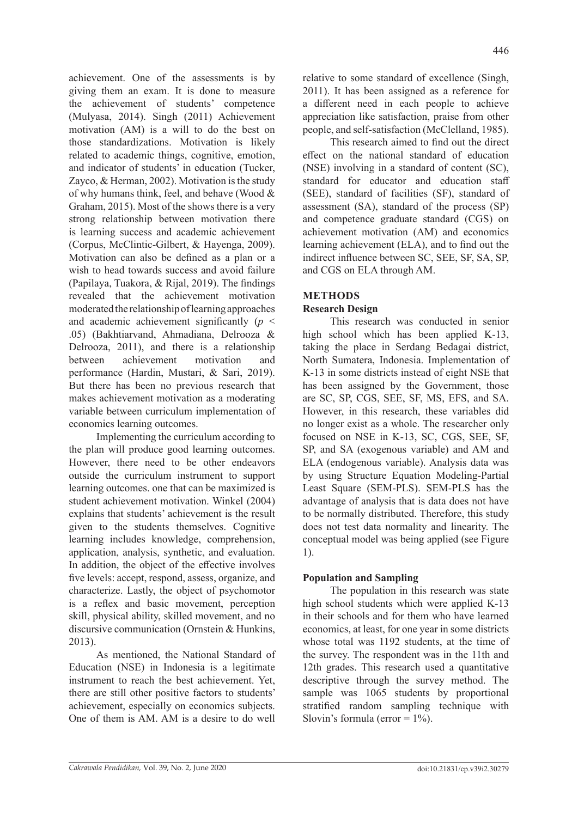achievement. One of the assessments is by giving them an exam. It is done to measure the achievement of students' competence (Mulyasa, 2014). Singh (2011) Achievement motivation (AM) is a will to do the best on those standardizations. Motivation is likely related to academic things, cognitive, emotion, and indicator of students' in education (Tucker, Zayco, & Herman, 2002). Motivation is the study of why humans think, feel, and behave (Wood & Graham, 2015). Most of the shows there is a very strong relationship between motivation there is learning success and academic achievement (Corpus, McClintic-Gilbert, & Hayenga, 2009). Motivation can also be defined as a plan or a wish to head towards success and avoid failure (Papilaya, Tuakora, & Rijal, 2019). The findings revealed that the achievement motivation moderated the relationship of learning approaches and academic achievement significantly (*p* < .05) (Bakhtiarvand, Ahmadiana, Delrooza & Delrooza, 2011), and there is a relationship between achievement motivation and performance (Hardin, Mustari, & Sari, 2019). But there has been no previous research that makes achievement motivation as a moderating variable between curriculum implementation of economics learning outcomes.

Implementing the curriculum according to the plan will produce good learning outcomes. However, there need to be other endeavors outside the curriculum instrument to support learning outcomes. one that can be maximized is student achievement motivation. Winkel (2004) explains that students' achievement is the result given to the students themselves. Cognitive learning includes knowledge, comprehension, application, analysis, synthetic, and evaluation. In addition, the object of the effective involves five levels: accept, respond, assess, organize, and characterize. Lastly, the object of psychomotor is a reflex and basic movement, perception skill, physical ability, skilled movement, and no discursive communication (Ornstein & Hunkins, 2013).

As mentioned, the National Standard of Education (NSE) in Indonesia is a legitimate instrument to reach the best achievement. Yet, there are still other positive factors to students' achievement, especially on economics subjects. One of them is AM. AM is a desire to do well

relative to some standard of excellence (Singh, 2011). It has been assigned as a reference for a different need in each people to achieve appreciation like satisfaction, praise from other people, and self-satisfaction (McClelland, 1985).

This research aimed to find out the direct effect on the national standard of education (NSE) involving in a standard of content (SC), standard for educator and education staff (SEE), standard of facilities (SF), standard of assessment (SA), standard of the process (SP) and competence graduate standard (CGS) on achievement motivation (AM) and economics learning achievement (ELA), and to find out the indirect influence between SC, SEE, SF, SA, SP, and CGS on ELA through AM.

# **METHODS**

# **Research Design**

This research was conducted in senior high school which has been applied K-13, taking the place in Serdang Bedagai district, North Sumatera, Indonesia. Implementation of K-13 in some districts instead of eight NSE that has been assigned by the Government, those are SC, SP, CGS, SEE, SF, MS, EFS, and SA. However, in this research, these variables did no longer exist as a whole. The researcher only focused on NSE in K-13, SC, CGS, SEE, SF, SP, and SA (exogenous variable) and AM and ELA (endogenous variable). Analysis data was by using Structure Equation Modeling-Partial Least Square (SEM-PLS). SEM-PLS has the advantage of analysis that is data does not have to be normally distributed. Therefore, this study does not test data normality and linearity. The conceptual model was being applied (see Figure 1).

# **Population and Sampling**

The population in this research was state high school students which were applied K-13 in their schools and for them who have learned economics, at least, for one year in some districts whose total was 1192 students, at the time of the survey. The respondent was in the 11th and 12th grades. This research used a quantitative descriptive through the survey method. The sample was 1065 students by proportional stratified random sampling technique with Slovin's formula (error  $= 1\%$ ).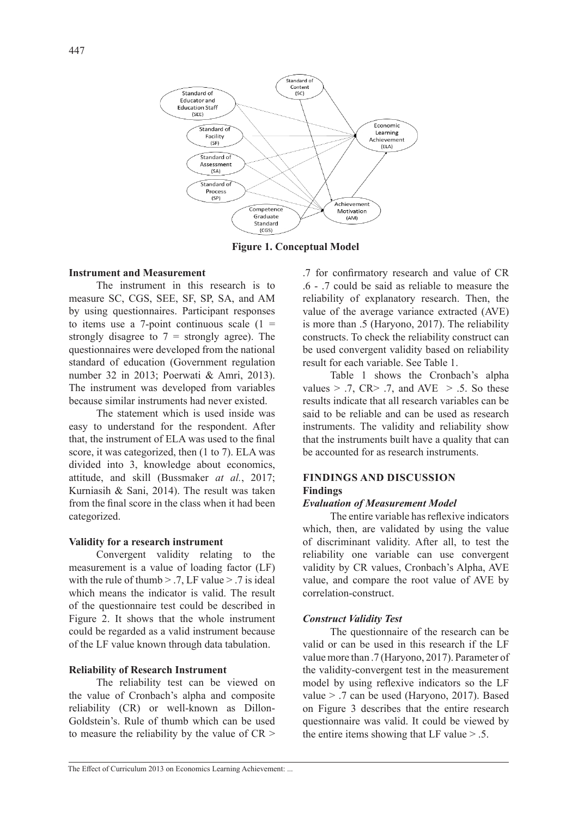

**Figure 1. Conceptual Model**

# **Instrument and Measurement**

The instrument in this research is to measure SC, CGS, SEE, SF, SP, SA, and AM by using questionnaires. Participant responses to items use a 7-point continuous scale  $(1 =$ strongly disagree to  $7 =$  strongly agree). The questionnaires were developed from the national standard of education (Government regulation number 32 in 2013; Poerwati & Amri, 2013). The instrument was developed from variables because similar instruments had never existed.

The statement which is used inside was easy to understand for the respondent. After that, the instrument of ELA was used to the final score, it was categorized, then (1 to 7). ELA was divided into 3, knowledge about economics, attitude, and skill (Bussmaker *at al.*, 2017; Kurniasih & Sani, 2014). The result was taken from the final score in the class when it had been categorized.

## **Validity for a research instrument**

Convergent validity relating to the measurement is a value of loading factor (LF) with the rule of thumb  $> 7$ . LF value  $> 7$  is ideal which means the indicator is valid. The result of the questionnaire test could be described in Figure 2. It shows that the whole instrument could be regarded as a valid instrument because of the LF value known through data tabulation.

#### **Reliability of Research Instrument**

The reliability test can be viewed on the value of Cronbach's alpha and composite reliability (CR) or well-known as Dillon-Goldstein's. Rule of thumb which can be used to measure the reliability by the value of  $CR$  > .7 for confirmatory research and value of CR .6 - .7 could be said as reliable to measure the reliability of explanatory research. Then, the value of the average variance extracted (AVE) is more than .5 (Haryono, 2017). The reliability constructs. To check the reliability construct can be used convergent validity based on reliability result for each variable. See Table 1.

Table 1 shows the Cronbach's alpha values  $> .7$ , CR $> .7$ , and AVE  $> .5$ . So these results indicate that all research variables can be said to be reliable and can be used as research instruments. The validity and reliability show that the instruments built have a quality that can be accounted for as research instruments.

# **FINDINGS AND DISCUSSION Findings**

# *Evaluation of Measurement Model*

The entire variable has reflexive indicators which, then, are validated by using the value of discriminant validity. After all, to test the reliability one variable can use convergent validity by CR values, Cronbach's Alpha, AVE value, and compare the root value of AVE by correlation-construct.

## *Construct Validity Test*

The questionnaire of the research can be valid or can be used in this research if the LF value more than .7 (Haryono, 2017). Parameter of the validity-convergent test in the measurement model by using reflexive indicators so the LF value > .7 can be used (Haryono, 2017). Based on Figure 3 describes that the entire research questionnaire was valid. It could be viewed by the entire items showing that LF value  $> .5$ .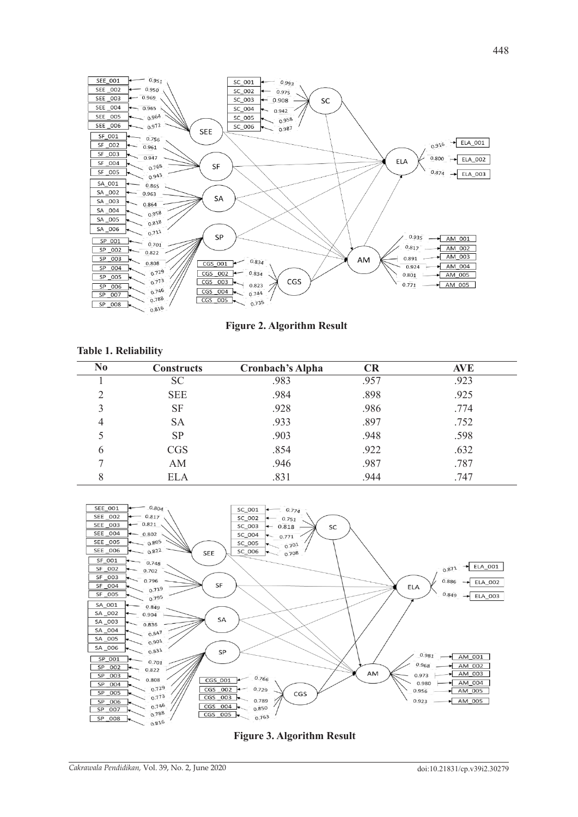

**Figure 2. Algorithm Result**

| N <sub>0</sub> | <b>Constructs</b> | <b>Cronbach's Alpha</b> | CR   | <b>AVE</b> |
|----------------|-------------------|-------------------------|------|------------|
|                | <b>SC</b>         | .983                    | .957 | .923       |
| 2              | <b>SEE</b>        | .984                    | .898 | .925       |
| 3              | SF                | .928                    | .986 | .774       |
| 4              | <b>SA</b>         | .933                    | .897 | .752       |
|                | <b>SP</b>         | .903                    | .948 | .598       |
| 6              | <b>CGS</b>        | .854                    | .922 | .632       |
|                | AM                | .946                    | .987 | .787       |
| 8              | <b>ELA</b>        | .831                    | .944 | .747       |



**Figure 3. Algorithm Result**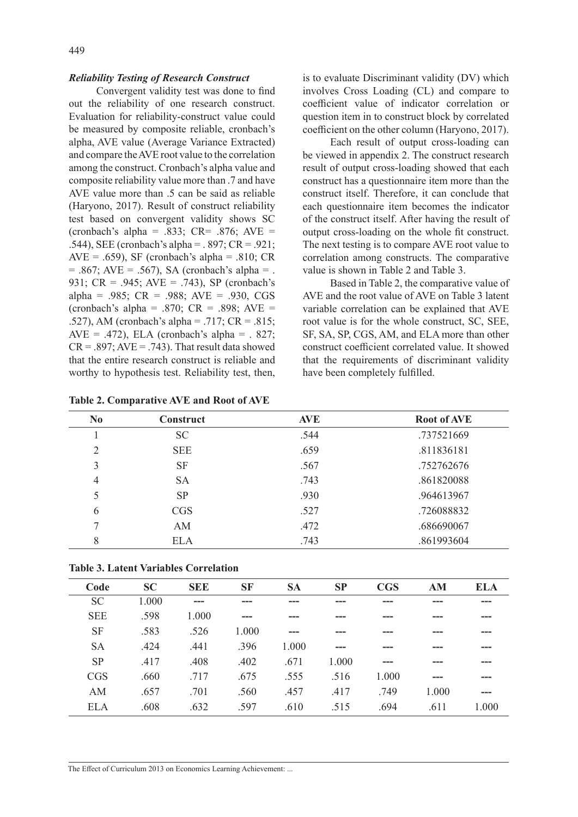#### *Reliability Testing of Research Construct*

Convergent validity test was done to find out the reliability of one research construct. Evaluation for reliability-construct value could be measured by composite reliable, cronbach's alpha, AVE value (Average Variance Extracted) and compare the AVE root value to the correlation among the construct. Cronbach's alpha value and composite reliability value more than .7 and have AVE value more than .5 can be said as reliable (Haryono, 2017). Result of construct reliability test based on convergent validity shows SC (cronbach's alpha = .833;  $CR = .876$ ;  $AVE =$ .544), SEE (cronbach's alpha = . 897; CR = .921;  $AVE = .659$ ), SF (cronbach's alpha = .810; CR  $= .867$ ; AVE  $= .567$ ), SA (cronbach's alpha  $= .$ 931; CR = .945; AVE = .743), SP (cronbach's alpha = .985; CR = .988; AVE = .930, CGS (cronbach's alpha = .870;  $CR = .898$ ;  $AVE =$ .527), AM (cronbach's alpha = .717; CR = .815; AVE = .472), ELA (cronbach's alpha =  $.827$ ;  $CR = .897$ ;  $AVE = .743$ ). That result data showed that the entire research construct is reliable and worthy to hypothesis test. Reliability test, then,

**Table 2. Comparative AVE and Root of AVE**

is to evaluate Discriminant validity (DV) which involves Cross Loading (CL) and compare to coefficient value of indicator correlation or question item in to construct block by correlated coefficient on the other column (Haryono, 2017).

Each result of output cross-loading can be viewed in appendix 2. The construct research result of output cross-loading showed that each construct has a questionnaire item more than the construct itself. Therefore, it can conclude that each questionnaire item becomes the indicator of the construct itself. After having the result of output cross-loading on the whole fit construct. The next testing is to compare AVE root value to correlation among constructs. The comparative value is shown in Table 2 and Table 3.

Based in Table 2, the comparative value of AVE and the root value of AVE on Table 3 latent variable correlation can be explained that AVE root value is for the whole construct, SC, SEE, SF, SA, SP, CGS, AM, and ELA more than other construct coefficient correlated value. It showed that the requirements of discriminant validity have been completely fulfilled.

| N <sub>0</sub> | <b>Construct</b> | <b>AVE</b> | <b>Root of AVE</b> |
|----------------|------------------|------------|--------------------|
|                | <b>SC</b>        | .544       | .737521669         |
| $\overline{2}$ | <b>SEE</b>       | .659       | .811836181         |
| 3              | <b>SF</b>        | .567       | .752762676         |
| $\overline{4}$ | <b>SA</b>        | .743       | .861820088         |
| 5              | <b>SP</b>        | .930       | .964613967         |
| 6              | <b>CGS</b>       | .527       | .726088832         |
| 7              | AM               | .472       | .686690067         |
| 8              | <b>ELA</b>       | .743       | .861993604         |

| <b>Table 3. Latent Variables Correlation</b> |  |
|----------------------------------------------|--|
|----------------------------------------------|--|

| Code       | <b>SC</b> | <b>SEE</b> | <b>SF</b> | <b>SA</b> | <b>SP</b> | <b>CGS</b> | AM    | <b>ELA</b> |
|------------|-----------|------------|-----------|-----------|-----------|------------|-------|------------|
| <b>SC</b>  | 1.000     |            |           |           |           |            |       |            |
| <b>SEE</b> | .598      | 1.000      |           |           |           |            |       |            |
| <b>SF</b>  | .583      | .526       | 1.000     |           |           |            |       |            |
| <b>SA</b>  | .424      | .441       | .396      | 1.000     | ---       |            |       |            |
| <b>SP</b>  | .417      | .408       | .402      | .671      | 1.000     | ---        |       |            |
| <b>CGS</b> | .660      | .717       | .675      | .555      | .516      | 1.000      |       |            |
| AM         | .657      | .701       | .560      | .457      | .417      | .749       | 1.000 |            |
| <b>ELA</b> | .608      | .632       | .597      | .610      | .515      | .694       | .611  | 1.000      |
|            |           |            |           |           |           |            |       |            |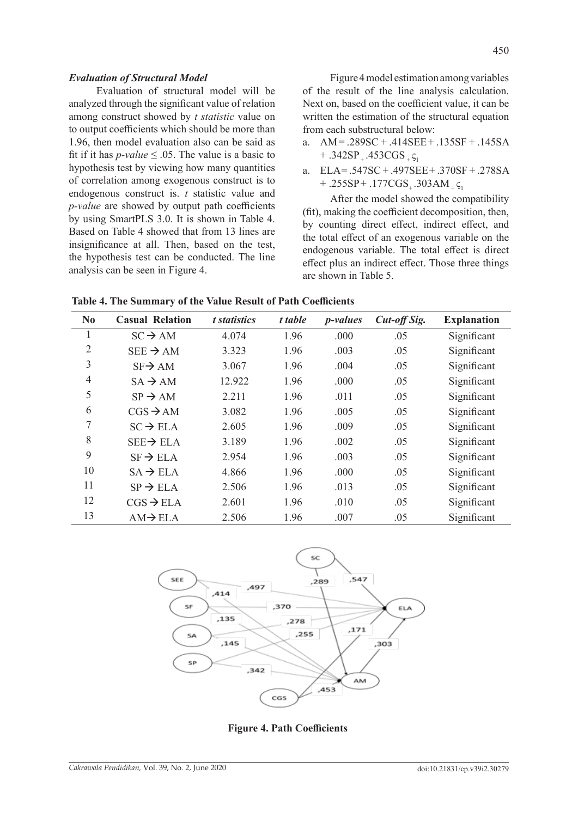Evaluation of structural model will be analyzed through the significant value of relation among construct showed by *t statistic* value on to output coefficients which should be more than 1.96, then model evaluation also can be said as fit if it has *p*-value  $\leq$  0.05. The value is a basic to hypothesis test by viewing how many quantities of correlation among exogenous construct is to endogenous construct is. *t* statistic value and *p-value* are showed by output path coefficients by using SmartPLS 3.0. It is shown in Table 4. Based on Table 4 showed that from 13 lines are insignificance at all. Then, based on the test, the hypothesis test can be conducted. The line analysis can be seen in Figure 4.

Figure 4 model estimation among variables of the result of the line analysis calculation. Next on, based on the coefficient value, it can be written the estimation of the structural equation from each substructural below:

- a. AM= .289SC + .414SEE+ .135SF + .145SA  $+ .342SP_{+} .453CGS_{+}$
- a. ELA= .547SC + .497SEE+ .370SF + .278SA  $+$  .255SP + .177CGS<sub>+</sub> .303AM  $_{+}$   $\varsigma_{1}$

After the model showed the compatibility (fit), making the coefficient decomposition, then, by counting direct effect, indirect effect, and the total effect of an exogenous variable on the endogenous variable. The total effect is direct effect plus an indirect effect. Those three things are shown in Table 5.

| N <sub>0</sub> | <b>Casual Relation</b> | t statistics | t table | <i>p</i> -values | Cut-off Sig. | <b>Explanation</b> |
|----------------|------------------------|--------------|---------|------------------|--------------|--------------------|
| 1              | $SC \rightarrow AM$    | 4.074        | 1.96    | .000             | .05          | Significant        |
| $\overline{2}$ | $SEE \rightarrow AM$   | 3.323        | 1.96    | .003             | .05          | Significant        |
| 3              | $SF\rightarrow AM$     | 3.067        | 1.96    | .004             | .05          | Significant        |
| 4              | $SA \rightarrow AM$    | 12.922       | 1.96    | .000             | .05          | Significant        |
| 5              | $SP \rightarrow AM$    | 2.211        | 1.96    | .011             | .05          | Significant        |
| 6              | $CGS \rightarrow AM$   | 3.082        | 1.96    | .005             | .05          | Significant        |
| 7              | $SC \rightarrow ELA$   | 2.605        | 1.96    | .009             | .05          | Significant        |
| 8              | $SEE \rightarrow ELA$  | 3.189        | 1.96    | .002             | .05          | Significant        |
| 9              | $SF \rightarrow ELA$   | 2.954        | 1.96    | .003             | .05          | Significant        |
| 10             | $SA \rightarrow ELA$   | 4.866        | 1.96    | .000             | .05          | Significant        |
| 11             | $SP \rightarrow ELA$   | 2.506        | 1.96    | .013             | .05          | Significant        |
| 12             | $CGS \rightarrow ELA$  | 2.601        | 1.96    | .010             | .05          | Significant        |
| 13             | $AM \rightarrow ELA$   | 2.506        | 1.96    | .007             | .05          | Significant        |



**Figure 4. Path Coefficients**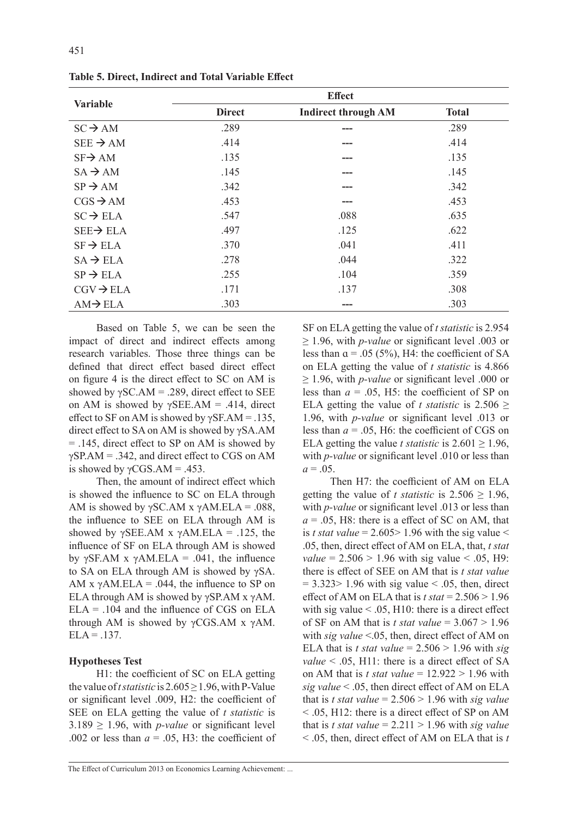|                       |               | <b>Effect</b>              |              |
|-----------------------|---------------|----------------------------|--------------|
| <b>Variable</b>       | <b>Direct</b> | <b>Indirect through AM</b> | <b>Total</b> |
| $SC \rightarrow AM$   | .289          | ---                        | .289         |
| $SEE \rightarrow AM$  | .414          |                            | .414         |
| $SF\rightarrow AM$    | .135          |                            | .135         |
| $SA \rightarrow AM$   | .145          |                            | .145         |
| $SP \rightarrow AM$   | .342          |                            | .342         |
| $CGS \rightarrow AM$  | .453          | ---                        | .453         |
| $SC \rightarrow ELA$  | .547          | .088                       | .635         |
| $SEE \rightarrow ELA$ | .497          | .125                       | .622         |
| $SF \rightarrow ELA$  | .370          | .041                       | .411         |
| $SA \rightarrow ELA$  | .278          | .044                       | .322         |
| $SP \rightarrow ELA$  | .255          | .104                       | .359         |
| $CGV \rightarrow ELA$ | .171          | .137                       | .308         |
| $AM \rightarrow ELA$  | .303          | ---                        | .303         |

**Table 5. Direct, Indirect and Total Variable Effect**

Based on Table 5, we can be seen the impact of direct and indirect effects among research variables. Those three things can be defined that direct effect based direct effect on figure 4 is the direct effect to SC on AM is showed by  $\gamma$ SC.AM = .289, direct effect to SEE on AM is showed by  $\gamma$ SEE.AM = .414, direct effect to SF on AM is showed by  $\gamma$ SF.AM = .135, direct effect to SA on AM is showed by γSA.AM = .145, direct effect to SP on AM is showed by γSP.AM = .342, and direct effect to CGS on AM is showed by  $\gamma$ CGS.AM = .453.

Then, the amount of indirect effect which is showed the influence to SC on ELA through AM is showed by  $\gamma$ SC.AM x  $\gamma$ AM.ELA = .088, the influence to SEE on ELA through AM is showed by  $\gamma$ SEE.AM x  $\gamma$ AM.ELA = .125, the influence of SF on ELA through AM is showed by γSF.AM x γAM.ELA = .041, the influence to SA on ELA through AM is showed by γSA. AM x  $\gamma$ AM.ELA = .044, the influence to SP on ELA through AM is showed by  $\gamma$ SP.AM x  $\gamma$ AM.  $ELA = .104$  and the influence of CGS on  $ELA$ through AM is showed by  $\gamma$ CGS.AM x  $\gamma$ AM.  $ELA = .137.$ 

## **Hypotheses Test**

H1: the coefficient of SC on ELA getting the value of *t statistic* is  $2.605 \ge 1.96$ , with P-Value or significant level .009, H2: the coefficient of SEE on ELA getting the value of *t statistic* is  $3.189 \ge 1.96$ , with *p-value* or significant level .002 or less than  $a = .05$ , H3: the coefficient of SF on ELA getting the value of *t statistic* is 2.954 ≥ 1.96, with *p-value* or significant level .003 or less than  $\alpha$  = .05 (5%), H4: the coefficient of SA on ELA getting the value of *t statistic* is 4.866 ≥ 1.96, with *p-value* or significant level .000 or less than  $a = 0.05$ , H5: the coefficient of SP on ELA getting the value of *t statistic* is  $2.506 \ge$ 1.96, with *p-value* or significant level .013 or less than *ɑ* = .05, H6: the coefficient of CGS on ELA getting the value *t statistic* is  $2.601 \ge 1.96$ , with *p-value* or significant level .010 or less than  $a = .05$ .

Then H7: the coefficient of AM on ELA getting the value of *t statistic* is  $2.506 \ge 1.96$ , with *p*-value or significant level .013 or less than *ɑ* = .05, H8: there is a effect of SC on AM, that is *t stat value* =  $2.605 > 1.96$  with the sig value < .05, then, direct effect of AM on ELA, that, *t stat value* =  $2.506 > 1.96$  with sig value < .05, H9: there is effect of SEE on AM that is *t stat value*  $= 3.323 > 1.96$  with sig value  $< .05$ , then, direct effect of AM on ELA that is  $t$  stat =  $2.506 > 1.96$ with sig value  $< .05$ , H10: there is a direct effect of SF on AM that is *t stat value* =  $3.067 > 1.96$ with *sig value* <.05, then, direct effect of AM on ELA that is *t stat value* =  $2.506 > 1.96$  with *sig value* < .05, H11: there is a direct effect of SA on AM that is *t stat value* =  $12.922 > 1.96$  with *sig value* < .05, then direct effect of AM on ELA that is *t stat value* =  $2.506 > 1.96$  with *sig value* < .05, H12: there is a direct effect of SP on AM that is *t stat value* =  $2.211 > 1.96$  with *sig value* < .05, then, direct effect of AM on ELA that is *t*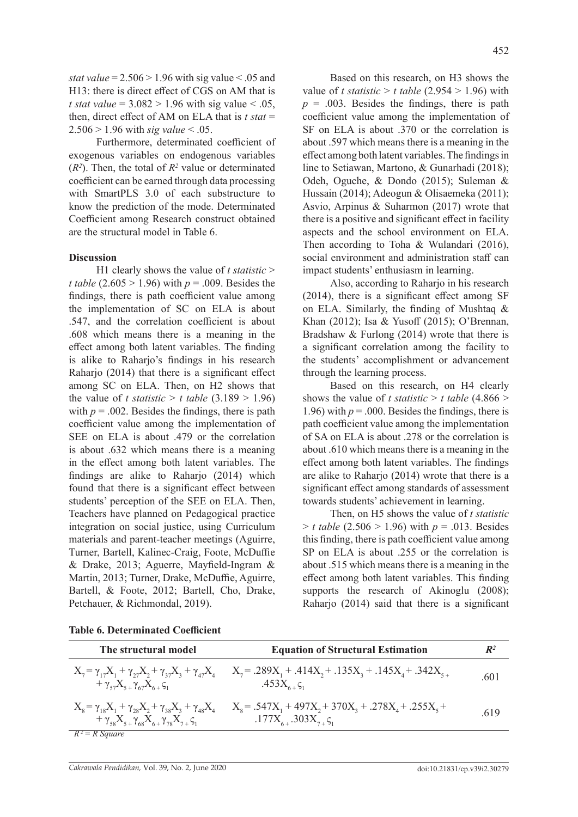*stat value* =  $2.506 > 1.96$  with sig value < .05 and H13: there is direct effect of CGS on AM that is *t stat value* =  $3.082 > 1.96$  with sig value < .05, then, direct effect of AM on ELA that is *t stat* = 2.506 > 1.96 with *sig value* < .05.

Furthermore, determinated coefficient of exogenous variables on endogenous variables  $(R<sup>2</sup>)$ . Then, the total of  $R<sup>2</sup>$  value or determinated coefficient can be earned through data processing with SmartPLS 3.0 of each substructure to know the prediction of the mode. Determinated Coefficient among Research construct obtained are the structural model in Table 6.

## **Discussion**

H1 clearly shows the value of *t statistic* > *t table* (2.605 > 1.96) with *p* = .009. Besides the findings, there is path coefficient value among the implementation of SC on ELA is about .547, and the correlation coefficient is about .608 which means there is a meaning in the effect among both latent variables. The finding is alike to Raharjo's findings in his research Raharjo (2014) that there is a significant effect among SC on ELA. Then, on H2 shows that the value of *t* statistic  $> t$  table (3.189  $> 1.96$ ) with  $p = .002$ . Besides the findings, there is path coefficient value among the implementation of SEE on ELA is about .479 or the correlation is about .632 which means there is a meaning in the effect among both latent variables. The findings are alike to Raharjo (2014) which found that there is a significant effect between students' perception of the SEE on ELA. Then, Teachers have planned on Pedagogical practice integration on social justice, using Curriculum materials and parent-teacher meetings (Aguirre, Turner, Bartell, Kalinec-Craig, Foote, McDuffie & Drake, 2013; Aguerre, Mayfield-Ingram & Martin, 2013; Turner, Drake, McDuffie, Aguirre, Bartell, & Foote, 2012; Bartell, Cho, Drake, Petchauer, & Richmondal, 2019).

Based on this research, on H3 shows the value of *t statistic* > *t table* (2.954 > 1.96) with  $p = .003$ . Besides the findings, there is path coefficient value among the implementation of SF on ELA is about .370 or the correlation is about .597 which means there is a meaning in the effect among both latent variables. The findings in line to Setiawan, Martono, & Gunarhadi (2018); Odeh, Oguche, & Dondo (2015); Suleman & Hussain (2014); Adeogun & Olisaemeka (2011); Asvio, Arpinus & Suharmon (2017) wrote that there is a positive and significant effect in facility aspects and the school environment on ELA. Then according to Toha & Wulandari (2016), social environment and administration staff can impact students' enthusiasm in learning.

Also, according to Raharjo in his research (2014), there is a significant effect among SF on ELA. Similarly, the finding of Mushtaq & Khan (2012); Isa & Yusoff (2015); O'Brennan, Bradshaw & Furlong (2014) wrote that there is a significant correlation among the facility to the students' accomplishment or advancement through the learning process.

Based on this research, on H4 clearly shows the value of *t statistic* > *t table* (4.866 > 1.96) with  $p = 0.000$ . Besides the findings, there is path coefficient value among the implementation of SA on ELA is about  $278$  or the correlation is about .610 which means there is a meaning in the effect among both latent variables. The findings are alike to Raharjo (2014) wrote that there is a significant effect among standards of assessment towards students' achievement in learning.

Then, on H5 shows the value of *t statistic*  $> t$  table (2.506  $> 1.96$ ) with  $p = .013$ . Besides this finding, there is path coefficient value among SP on ELA is about .255 or the correlation is about .515 which means there is a meaning in the effect among both latent variables. This finding supports the research of Akinoglu (2008); Raharjo (2014) said that there is a significant

| The structural model                                                                                                                                    | <b>Equation of Structural Estimation</b>                                                  | $\mathbb{R}^2$ |
|---------------------------------------------------------------------------------------------------------------------------------------------------------|-------------------------------------------------------------------------------------------|----------------|
| $X_7 = \gamma_{17}X_1 + \gamma_{27}X_2 + \gamma_{37}X_3 + \gamma_{47}X_4$<br>+ $\gamma_{57}X_{5+}\gamma_{67}X_{6+}\zeta_{1}$                            | $X_7$ = .289 $X_1$ + .414 $X_2$ + .135 $X_3$ + .145 $X_4$ + .342 $X_{5}$<br>.453 $X_{6+}$ | .601           |
| $X_{8} = \gamma_{18}X_{1} + \gamma_{28}X_{2} + \gamma_{38}X_{3} + \gamma_{48}X_{4}$<br>+ $\gamma_{58}X_{5+}\gamma_{68}X_{6+}\gamma_{78}X_{7+}\zeta_{1}$ | $X_s = .547X_1 + 497X_2 + 370X_3 + .278X_4 + .255X_5 +$<br>$.177X_{6+}.303X_{7+}\zeta_1$  | .619           |
| $R^2 = R$ Square                                                                                                                                        |                                                                                           |                |

**Table 6. Determinated Coefficient**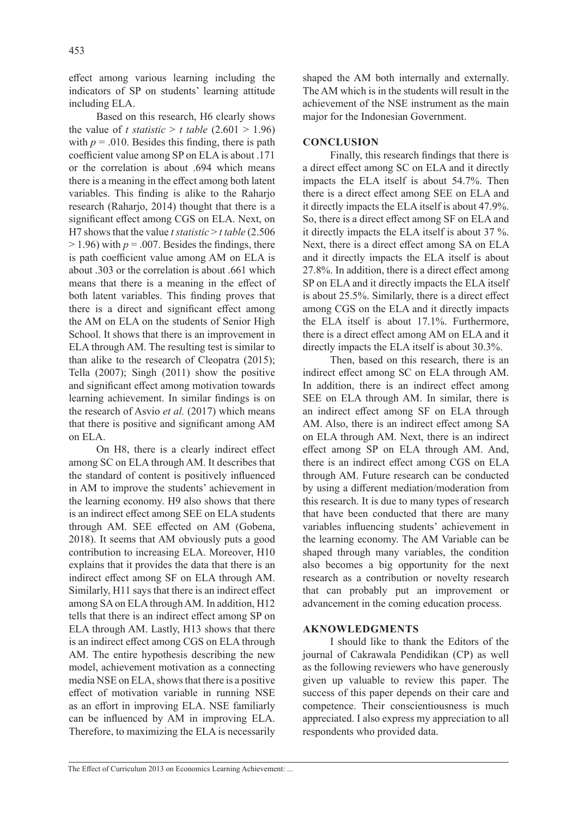effect among various learning including the indicators of SP on students' learning attitude including ELA.

Based on this research, H6 clearly shows the value of *t statistic* > *t table* (2.601 > 1.96) with  $p = .010$ . Besides this finding, there is path coefficient value among SP on ELA is about .171 or the correlation is about .694 which means there is a meaning in the effect among both latent variables. This finding is alike to the Raharjo research (Raharjo, 2014) thought that there is a significant effect among CGS on ELA. Next, on H7 shows that the value *t statistic* > *t table* (2.506  $> 1.96$ ) with  $p = .007$ . Besides the findings, there is path coefficient value among AM on ELA is about .303 or the correlation is about .661 which means that there is a meaning in the effect of both latent variables. This finding proves that there is a direct and significant effect among the AM on ELA on the students of Senior High School. It shows that there is an improvement in ELA through AM. The resulting test is similar to than alike to the research of Cleopatra (2015); Tella (2007); Singh (2011) show the positive and significant effect among motivation towards learning achievement. In similar findings is on the research of Asvio *et al.* (2017) which means that there is positive and significant among AM on ELA.

On H8, there is a clearly indirect effect among SC on ELA through AM. It describes that the standard of content is positively influenced in AM to improve the students' achievement in the learning economy. H9 also shows that there is an indirect effect among SEE on ELA students through AM. SEE effected on AM (Gobena, 2018). It seems that AM obviously puts a good contribution to increasing ELA. Moreover, H10 explains that it provides the data that there is an indirect effect among SF on ELA through AM. Similarly, H11 says that there is an indirect effect among SA on ELA through AM. In addition, H12 tells that there is an indirect effect among SP on ELA through AM. Lastly, H13 shows that there is an indirect effect among CGS on ELA through AM. The entire hypothesis describing the new model, achievement motivation as a connecting media NSE on ELA, shows that there is a positive effect of motivation variable in running NSE as an effort in improving ELA. NSE familiarly can be influenced by AM in improving ELA. Therefore, to maximizing the ELA is necessarily shaped the AM both internally and externally. The AM which is in the students will result in the achievement of the NSE instrument as the main major for the Indonesian Government.

# **CONCLUSION**

Finally, this research findings that there is a direct effect among SC on ELA and it directly impacts the ELA itself is about 54.7%. Then there is a direct effect among SEE on ELA and it directly impacts the ELA itself is about 47.9%. So, there is a direct effect among SF on ELA and it directly impacts the ELA itself is about 37 %. Next, there is a direct effect among SA on ELA and it directly impacts the ELA itself is about 27.8%. In addition, there is a direct effect among SP on ELA and it directly impacts the ELA itself is about 25.5%. Similarly, there is a direct effect among CGS on the ELA and it directly impacts the ELA itself is about 17.1%. Furthermore, there is a direct effect among AM on ELA and it directly impacts the ELA itself is about 30.3%.

Then, based on this research, there is an indirect effect among SC on ELA through AM. In addition, there is an indirect effect among SEE on ELA through AM. In similar, there is an indirect effect among SF on ELA through AM. Also, there is an indirect effect among SA on ELA through AM. Next, there is an indirect effect among SP on ELA through AM. And, there is an indirect effect among CGS on ELA through AM. Future research can be conducted by using a different mediation/moderation from this research. It is due to many types of research that have been conducted that there are many variables influencing students' achievement in the learning economy. The AM Variable can be shaped through many variables, the condition also becomes a big opportunity for the next research as a contribution or novelty research that can probably put an improvement or advancement in the coming education process.

## **AKNOWLEDGMENTS**

I should like to thank the Editors of the journal of Cakrawala Pendidikan (CP) as well as the following reviewers who have generously given up valuable to review this paper. The success of this paper depends on their care and competence. Their conscientiousness is much appreciated. I also express my appreciation to all respondents who provided data.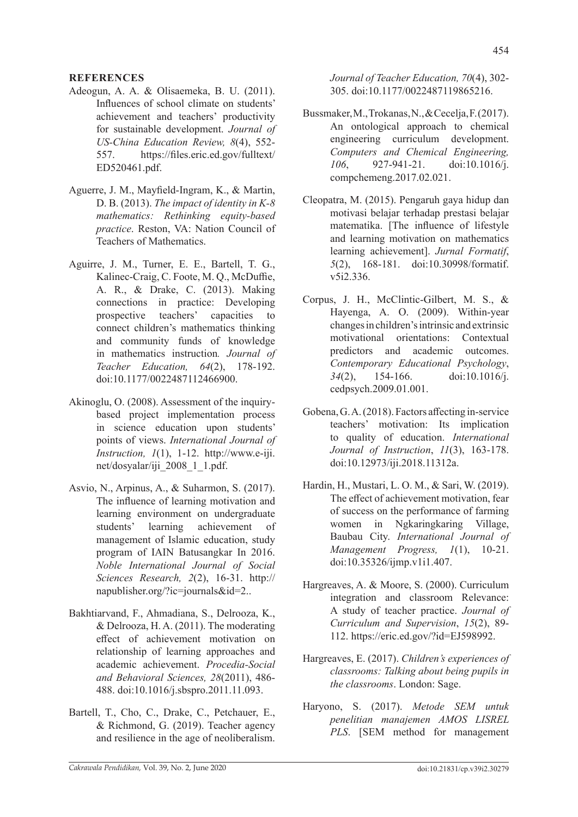## **REFERENCES**

- Adeogun, A. A. & Olisaemeka, B. U. (2011). Influences of school climate on students' achievement and teachers' productivity for sustainable development. *Journal of US-China Education Review, 8*(4), 552- 557. https://files.eric.ed.gov/fulltext/ ED520461.pdf.
- Aguerre, J. M., Mayfield-Ingram, K., & Martin, D. B. (2013). *The impact of identity in K-8 mathematics: Rethinking equity-based practice*. Reston, VA: Nation Council of Teachers of Mathematics.
- Aguirre, J. M., Turner, E. E., Bartell, T. G., Kalinec-Craig, C. Foote, M. Q., McDuffie, A. R., & Drake, C. (2013). Making connections in practice: Developing prospective teachers' capacities to connect children's mathematics thinking and community funds of knowledge in mathematics instruction*. Journal of Teacher Education, 64*(2), 178-192. doi:10.1177/0022487112466900.
- Akinoglu, O. (2008). Assessment of the inquirybased project implementation process in science education upon students' points of views. *International Journal of Instruction, 1*(1), 1-12. http://www.e-iji. net/dosyalar/iji\_2008\_1\_1.pdf.
- Asvio, N., Arpinus, A., & Suharmon, S. (2017). The influence of learning motivation and learning environment on undergraduate students' learning achievement of management of Islamic education, study program of IAIN Batusangkar In 2016. *Noble International Journal of Social Sciences Research, 2*(2), 16-31. http:// napublisher.org/?ic=journals&id=2..
- Bakhtiarvand, F., Ahmadiana, S., Delrooza, K., & Delrooza, H. A. (2011). The moderating effect of achievement motivation on relationship of learning approaches and academic achievement. *Procedia-Social and Behavioral Sciences, 28*(2011), 486- 488. doi:10.1016/j.sbspro.2011.11.093.
- Bartell, T., Cho, C., Drake, C., Petchauer, E., & Richmond, G. (2019). Teacher agency and resilience in the age of neoliberalism.

*Journal of Teacher Education, 70*(4), 302- 305. doi:10.1177/0022487119865216.

- Bussmaker, M., Trokanas, N., & Cecelja, F. (2017). An ontological approach to chemical engineering curriculum development. *Computers and Chemical Engineering, 106*, 927-941-21. doi:10.1016/j. compchemeng.2017.02.021.
- Cleopatra, M. (2015). Pengaruh gaya hidup dan motivasi belajar terhadap prestasi belajar matematika. [The influence of lifestyle and learning motivation on mathematics learning achievement]. *Jurnal Formatif*, *5*(2), 168-181. doi:10.30998/formatif. v5i2.336.
- Corpus, J. H., McClintic-Gilbert, M. S., & Hayenga, A. O. (2009). Within-year changes in children's intrinsic and extrinsic motivational orientations: Contextual predictors and academic outcomes. *Contemporary Educational Psychology*, *34*(2), 154-166. doi:10.1016/j. cedpsych.2009.01.001.
- Gobena, G. A. (2018). Factors affecting in-service teachers' motivation: Its implication to quality of education. *International Journal of Instruction*, *11*(3), 163-178. doi:10.12973/iji.2018.11312a.
- Hardin, H., Mustari, L. O. M., & Sari, W. (2019). The effect of achievement motivation, fear of success on the performance of farming women in Ngkaringkaring Village, Baubau City. *International Journal of Management Progress, 1*(1), 10-21. doi:10.35326/ijmp.v1i1.407.
- Hargreaves, A. & Moore, S. (2000). Curriculum integration and classroom Relevance: A study of teacher practice. *Journal of Curriculum and Supervision*, *15*(2), 89- 112. https://eric.ed.gov/?id=EJ598992.
- Hargreaves, E. (2017). *Children's experiences of classrooms: Talking about being pupils in the classrooms*. London: Sage.
- Haryono, S. (2017). *Metode SEM untuk penelitian manajemen AMOS LISREL PLS*. [SEM method for management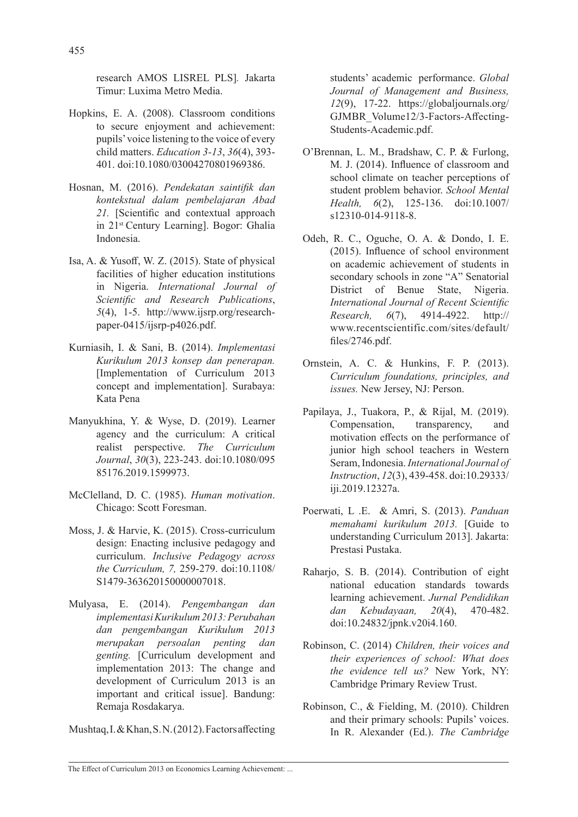research AMOS LISREL PLS]*.* Jakarta Timur: Luxima Metro Media.

- Hopkins, E. A. (2008). Classroom conditions to secure enjoyment and achievement: pupils' voice listening to the voice of every child matters. *Education 3-13*, *36*(4), 393- 401. doi:10.1080/03004270801969386.
- Hosnan, M. (2016). *Pendekatan saintifik dan kontekstual dalam pembelajaran Abad*  21. **[Scientific and contextual approach** in 21st Century Learning]. Bogor: Ghalia Indonesia.
- Isa, A. & Yusoff, W. Z. (2015). State of physical facilities of higher education institutions in Nigeria. *International Journal of Scientific and Research Publications*, *5*(4), 1-5. http://www.ijsrp.org/researchpaper-0415/ijsrp-p4026.pdf.
- Kurniasih, I. & Sani, B. (2014). *Implementasi Kurikulum 2013 konsep dan penerapan.*  [Implementation of Curriculum 2013 concept and implementation]. Surabaya: Kata Pena
- Manyukhina, Y. & Wyse, D. (2019). Learner agency and the curriculum: A critical realist perspective. *The Curriculum Journal*, *30*(3), 223-243. doi:10.1080/095 85176.2019.1599973.
- McClelland, D. C. (1985). *Human motivation*. Chicago: Scott Foresman.
- Moss, J. & Harvie, K. (2015). Cross-curriculum design: Enacting inclusive pedagogy and curriculum. *Inclusive Pedagogy across the Curriculum, 7,* 259-279. doi:10.1108/ S1479-363620150000007018.
- Mulyasa, E. (2014). *Pengembangan dan implementasi Kurikulum 2013: Perubahan dan pengembangan Kurikulum 2013 merupakan persoalan penting dan genting.* [Curriculum development and implementation 2013: The change and development of Curriculum 2013 is an important and critical issue]. Bandung: Remaja Rosdakarya.

Mushtaq, I. & Khan, S. N. (2012). Factors affecting

students' academic performance. *Global Journal of Management and Business, 12*(9), 17-22. https://globaljournals.org/ GJMBR\_Volume12/3-Factors-Affecting-Students-Academic.pdf.

- O'Brennan, L. M., Bradshaw, C. P. & Furlong, M. J. (2014). Influence of classroom and school climate on teacher perceptions of student problem behavior. *School Mental Health, 6*(2), 125-136. doi:10.1007/ s12310-014-9118-8.
- Odeh, R. C., Oguche, O. A. & Dondo, I. E. (2015). Influence of school environment on academic achievement of students in secondary schools in zone "A" Senatorial District of Benue State, Nigeria. *International Journal of Recent Scientific Research, 6*(7), 4914-4922. http:// www.recentscientific.com/sites/default/ files/2746.pdf.
- Ornstein, A. C. & Hunkins, F. P. (2013). *Curriculum foundations, principles, and issues.* New Jersey, NJ: Person.
- Papilaya, J., Tuakora, P., & Rijal, M. (2019). Compensation, transparency, and motivation effects on the performance of junior high school teachers in Western Seram, Indonesia. *International Journal of Instruction*, *12*(3), 439-458. doi:10.29333/ iji.2019.12327a.
- Poerwati, L .E. & Amri, S. (2013). *Panduan memahami kurikulum 2013.* [Guide to understanding Curriculum 2013]. Jakarta: Prestasi Pustaka.
- Raharjo, S. B. (2014). Contribution of eight national education standards towards learning achievement. *Jurnal Pendidikan dan Kebudayaan, 20*(4), 470-482. doi:10.24832/jpnk.v20i4.160.
- Robinson, C. (2014) *Children, their voices and their experiences of school: What does the evidence tell us?* New York, NY: Cambridge Primary Review Trust.
- Robinson, C., & Fielding, M. (2010). Children and their primary schools: Pupils' voices. In R. Alexander (Ed.). *The Cambridge*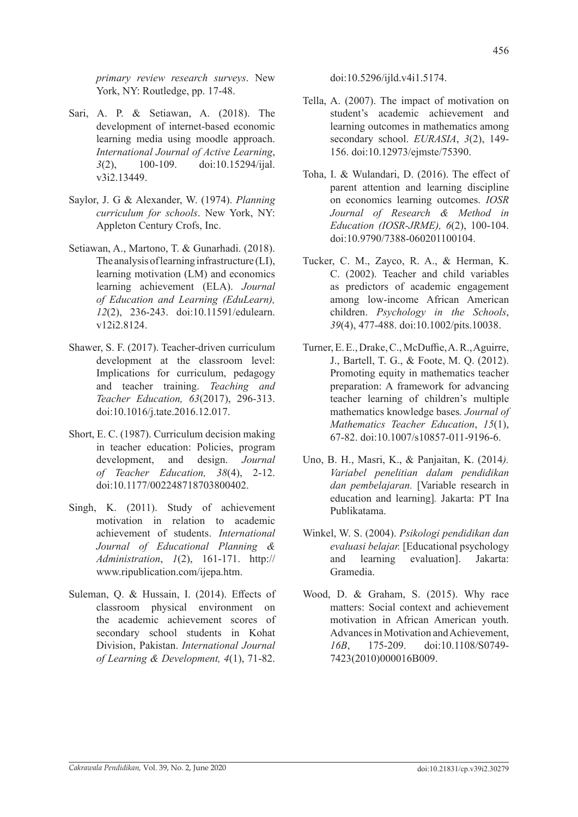*primary review research surveys*. New York, NY: Routledge, pp. 17-48.

- Sari, A. P. & Setiawan, A. (2018). The development of internet-based economic learning media using moodle approach. *International Journal of Active Learning*, *3*(2), 100-109. doi:10.15294/ijal. v3i2.13449.
- Saylor, J. G & Alexander, W. (1974). *Planning curriculum for schools*. New York, NY: Appleton Century Crofs, Inc.
- Setiawan, A., Martono, T. & Gunarhadi. (2018). The analysis of learning infrastructure (LI), learning motivation (LM) and economics learning achievement (ELA). *Journal of Education and Learning (EduLearn), 12*(2), 236-243. doi:10.11591/edulearn. v12i2.8124.
- Shawer, S. F. (2017). Teacher-driven curriculum development at the classroom level: Implications for curriculum, pedagogy and teacher training. *Teaching and Teacher Education, 63*(2017), 296-313. doi:10.1016/j.tate.2016.12.017.
- Short, E. C. (1987). Curriculum decision making in teacher education: Policies, program development, and design. *Journal of Teacher Education, 38*(4), 2-12. doi:10.1177/002248718703800402.
- Singh, K. (2011). Study of achievement motivation in relation to academic achievement of students. *International Journal of Educational Planning & Administration*, *1*(2), 161-171. http:// www.ripublication.com/ijepa.htm.
- Suleman, Q. & Hussain, I. (2014). Effects of classroom physical environment on the academic achievement scores of secondary school students in Kohat Division, Pakistan. *International Journal of Learning & Development, 4*(1), 71-82.

doi:10.5296/ijld.v4i1.5174.

- Tella, A. (2007). The impact of motivation on student's academic achievement and learning outcomes in mathematics among secondary school. *EURASIA*, *3*(2), 149- 156. doi:10.12973/ejmste/75390.
- Toha, I. & Wulandari, D. (2016). The effect of parent attention and learning discipline on economics learning outcomes. *IOSR Journal of Research & Method in Education (IOSR-JRME), 6*(2), 100-104. doi:10.9790/7388-060201100104.
- Tucker, C. M., Zayco, R. A., & Herman, K. C. (2002). Teacher and child variables as predictors of academic engagement among low-income African American children. *Psychology in the Schools*, *39*(4), 477-488. doi:10.1002/pits.10038.
- Turner, E. E., Drake, C., McDuffie, A. R., Aguirre, J., Bartell, T. G., & Foote, M. Q. (2012). Promoting equity in mathematics teacher preparation: A framework for advancing teacher learning of children's multiple mathematics knowledge bases*. Journal of Mathematics Teacher Education*, *15*(1), 67-82. doi:10.1007/s10857-011-9196-6.
- Uno, B. H., Masri, K., & Panjaitan, K. (2014*). Variabel penelitian dalam pendidikan dan pembelajaran.* [Variable research in education and learning]*.* Jakarta: PT Ina Publikatama.
- Winkel, W. S. (2004). *Psikologi pendidikan dan evaluasi belajar.* [Educational psychology and learning evaluation]. Jakarta: Gramedia.
- Wood, D. & Graham, S. (2015). Why race matters: Social context and achievement motivation in African American youth. Advances in Motivation and Achievement, *16B*, 175-209. doi:10.1108/S0749- 7423(2010)000016B009.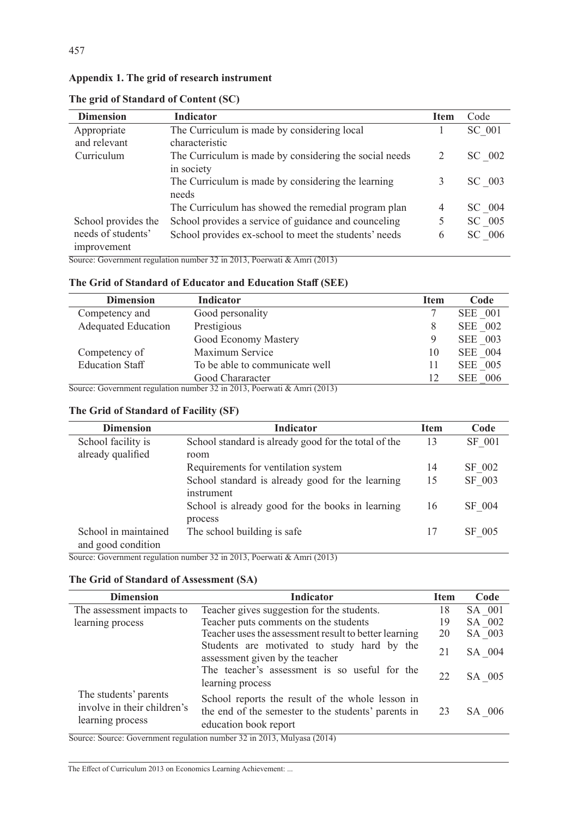| <b>Dimension</b>    | <b>Indicator</b>                                       | <b>Item</b> | Code   |
|---------------------|--------------------------------------------------------|-------------|--------|
| Appropriate         | The Curriculum is made by considering local            |             | SC 001 |
| and relevant        | characteristic                                         |             |        |
| Curriculum          | The Curriculum is made by considering the social needs |             | SC 002 |
|                     | in society                                             |             |        |
|                     | The Curriculum is made by considering the learning     | 3           | SC 003 |
|                     | needs                                                  |             |        |
|                     | The Curriculum has showed the remedial program plan    | 4           | SC 004 |
| School provides the | School provides a service of guidance and counceling   |             | SC 005 |
| needs of students'  | School provides ex-school to meet the students' needs  | 6           | SC 006 |
| improvement         | $\cdot$ $\cdot$ $\cdot$<br>221222                      |             |        |

**The grid of Standard of Content (SC)**

457

Source: Government regulation number 32 in 2013, Poerwati & Amri (2013)

# **The Grid of Standard of Educator and Education Staff (SEE)**

| <b>Dimension</b>           | Indicator                      | <b>Item</b> | Code                |
|----------------------------|--------------------------------|-------------|---------------------|
| Competency and             | Good personality               |             | SEE 001             |
| <b>Adequated Education</b> | Prestigious                    | 8           | SEE 002             |
|                            | Good Economy Mastery           | 9           | SEE 003             |
| Competency of              | Maximum Service                | 10          | SEE 004             |
| <b>Education Staff</b>     | To be able to communicate well |             | SEE 005             |
|                            | Good Chararacter               | 12          | - 006<br><b>SEE</b> |

Source: Government regulation number 32 in 2013, Poerwati & Amri (2013)

# **The Grid of Standard of Facility (SF)**

| <b>Dimension</b>     | <b>Indicator</b>                                     | <b>Item</b> | Code   |
|----------------------|------------------------------------------------------|-------------|--------|
| School facility is   | School standard is already good for the total of the | 13          | SF 001 |
| already qualified    | room                                                 |             |        |
|                      | Requirements for ventilation system                  | 14          | SF 002 |
|                      | School standard is already good for the learning     | 15          | SF 003 |
|                      | instrument                                           |             |        |
|                      | School is already good for the books in learning     | 16          | SF 004 |
|                      | process                                              |             |        |
| School in maintained | The school building is safe                          | 17          | SF 005 |
| and good condition   |                                                      |             |        |

Source: Government regulation number 32 in 2013, Poerwati & Amri (2013)

# **The Grid of Standard of Assessment (SA)**

| <b>Dimension</b>                                                         | <b>Indicator</b>                                                                                                                                                                                                                                                                                                                                                                                                                                                                                                         | Item   | Code   |
|--------------------------------------------------------------------------|--------------------------------------------------------------------------------------------------------------------------------------------------------------------------------------------------------------------------------------------------------------------------------------------------------------------------------------------------------------------------------------------------------------------------------------------------------------------------------------------------------------------------|--------|--------|
| The assessment impacts to                                                | Teacher gives suggestion for the students.                                                                                                                                                                                                                                                                                                                                                                                                                                                                               | 18     | SA 001 |
| learning process                                                         | Teacher puts comments on the students                                                                                                                                                                                                                                                                                                                                                                                                                                                                                    | 19     | SA 002 |
|                                                                          | Teacher uses the assessment result to better learning                                                                                                                                                                                                                                                                                                                                                                                                                                                                    | 20     | SA 003 |
|                                                                          | 21                                                                                                                                                                                                                                                                                                                                                                                                                                                                                                                       | SA 004 |        |
|                                                                          | The teacher's assessment is so useful for the<br>learning process                                                                                                                                                                                                                                                                                                                                                                                                                                                        | 22     | SA 005 |
| The students' parents<br>involve in their children's<br>learning process | School reports the result of the whole lesson in<br>the end of the semester to the students' parents in<br>education book report<br>$\overline{0}$ $\overline{0}$ $\overline{0}$ $\overline{1}$ $\overline{1}$ $\overline{1}$ $\overline{1}$ $\overline{2}$ $\overline{0}$ $\overline{1}$ $\overline{1}$ $\overline{2}$ $\overline{0}$ $\overline{1}$ $\overline{1}$ $\overline{1}$ $\overline{2}$ $\overline{0}$ $\overline{1}$ $\overline{1}$ $\overline{1}$ $\overline{2}$ $\overline{0}$ $\overline{1}$ $\overline{$ | 23     | SA 006 |

Source: Source: Government regulation number 32 in 2013, Mulyasa (2014)

The Effect of Curriculum 2013 on Economics Learning Achievement: ...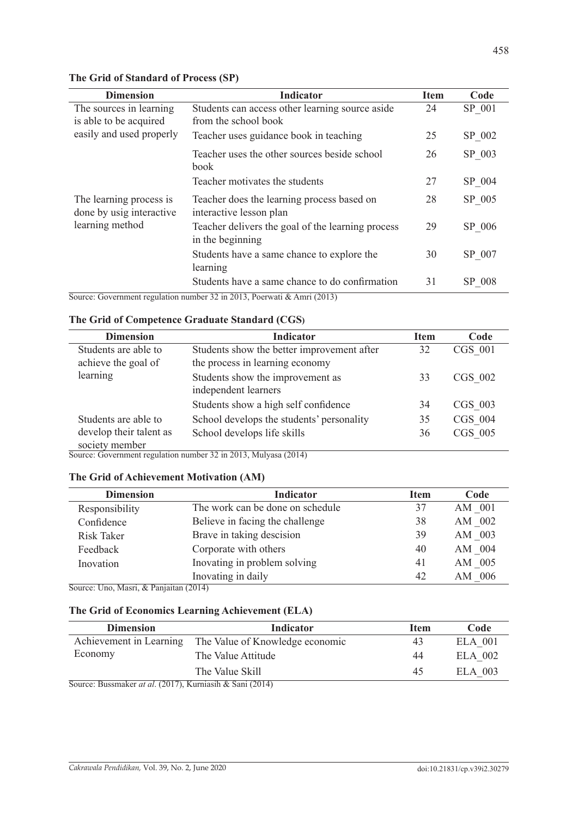| <b>Dimension</b>                                                              | <b>Indicator</b>                                                        | <b>Item</b> | Code   |
|-------------------------------------------------------------------------------|-------------------------------------------------------------------------|-------------|--------|
| The sources in learning<br>is able to be acquired<br>easily and used properly | Students can access other learning source aside<br>from the school book | 24          | SP 001 |
|                                                                               | Teacher uses guidance book in teaching                                  | 25          | SP 002 |
|                                                                               | Teacher uses the other sources beside school<br><b>book</b>             | 26          | SP 003 |
|                                                                               | Teacher motivates the students                                          | 27          | SP 004 |
| The learning process is<br>done by usig interactive<br>learning method        | Teacher does the learning process based on<br>interactive lesson plan   | 28          | SP 005 |
|                                                                               | Teacher delivers the goal of the learning process<br>in the beginning   | 29          | SP 006 |
|                                                                               | Students have a same chance to explore the<br>learning                  | 30          | SP 007 |
|                                                                               | Students have a same chance to do confirmation                          | 31          | SP 008 |

# **The Grid of Standard of Process (SP)**

Source: Government regulation number 32 in 2013, Poerwati & Amri (2013)

# **The Grid of Competence Graduate Standard (CGS)**

| <b>Dimension</b>        | <b>Indicator</b>                           | <b>Item</b> | Code      |
|-------------------------|--------------------------------------------|-------------|-----------|
| Students are able to    | Students show the better improvement after | 32          | CGS 001   |
| achieve the goal of     | the process in learning economy            |             |           |
| learning                | Students show the improvement as           | 33          | $CGS$ 002 |
|                         | independent learners                       |             |           |
|                         | Students show a high self confidence       | 34          | CGS 003   |
| Students are able to    | School develops the students' personality  | 35          | CGS 004   |
| develop their talent as | School develops life skills                | 36          | CGS 005   |
| society member          |                                            |             |           |

Source: Government regulation number 32 in 2013, Mulyasa (2014)

## **The Grid of Achievement Motivation (AM)**

| <b>Dimension</b>  | <b>Indicator</b>                 | <b>Item</b> | Code   |
|-------------------|----------------------------------|-------------|--------|
| Responsibility    | The work can be done on schedule | 37          | AM 001 |
| Confidence        | Believe in facing the challenge  | 38          | AM 002 |
| <b>Risk Taker</b> | Brave in taking descision        | 39          | AM 003 |
| Feedback          | Corporate with others            | 40          | AM 004 |
| Inovation         | Inovating in problem solving     | 41          | AM 005 |
|                   | Inovating in daily               | 42          | AM 006 |

Source: Uno, Masri, & Panjaitan (2014)

# **The Grid of Economics Learning Achievement (ELA)**

| <b>Dimension</b>                                          | Indicator                       | Item | Code           |  |
|-----------------------------------------------------------|---------------------------------|------|----------------|--|
| Achievement in Learning                                   | The Value of Knowledge economic | 43   | <b>ELA</b> 001 |  |
| Economy                                                   | The Value Attitude              | 44   | ELA 002        |  |
|                                                           | The Value Skill                 | 45   | ELA 003        |  |
| Source: Busemaker at al. (2017). Kurningih & Soni (2014). |                                 |      |                |  |

Source: Bussmaker *at al*. (2017), Kurniasih & Sani (2014)